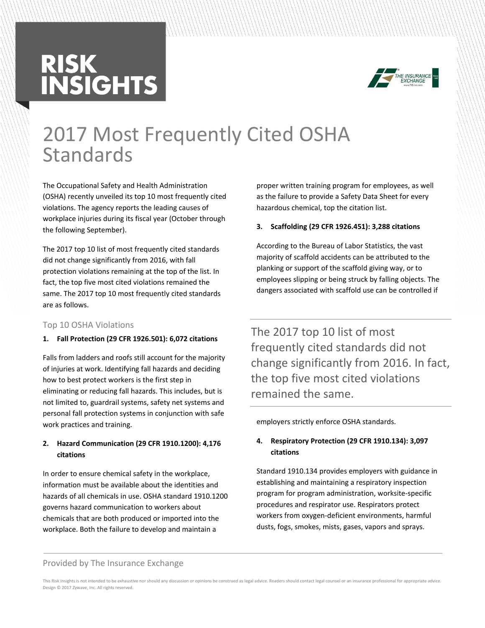# **RISK<br>INSIGHTS**



# 2017 Most Frequently Cited OSHA Standards

The Occupational Safety and Health Administration (OSHA) recently unveiled its top 10 most frequently cited violations. The agency reports the leading causes of workplace injuries during its fiscal year (October through the following September).

The 2017 top 10 list of most frequently cited standards did not change significantly from 2016, with fall protection violations remaining at the top of the list. In fact, the top five most cited violations remained the same. The 2017 top 10 most frequently cited standards are as follows.

# Top 10 OSHA Violations

# **1. Fall Protection (29 CFR 1926.501): 6,072 citations**

Falls from ladders and roofs still account for the majority of injuries at work. Identifying fall hazards and deciding how to best protect workers is the first step in eliminating or reducing fall hazards. This includes, but is not limited to, guardrail systems, safety net systems and personal fall protection systems in conjunction with safe work practices and training.

# **2. Hazard Communication (29 CFR 1910.1200): 4,176 citations**

In order to ensure chemical safety in the workplace, information must be available about the identities and hazards of all chemicals in use. OSHA standard 1910.1200 governs hazard communication to workers about chemicals that are both produced or imported into the workplace. Both the failure to develop and maintain a

proper written training program for employees, as well as the failure to provide a Safety Data Sheet for every hazardous chemical, top the citation list.

# **3. Scaffolding (29 CFR 1926.451): 3,288 citations**

According to the Bureau of Labor Statistics, the vast majority of scaffold accidents can be attributed to the planking or support of the scaffold giving way, or to employees slipping or being struck by falling objects. The dangers associated with scaffold use can be controlled if

The 2017 top 10 list of most frequently cited standards did not change significantly from 2016. In fact, the top five most cited violations remained the same.

employers strictly enforce OSHA standards.

# **4. Respiratory Protection (29 CFR 1910.134): 3,097 citations**

Standard 1910.134 provides employers with guidance in establishing and maintaining a respiratory inspection program for program administration, worksite-specific procedures and respirator use. Respirators protect workers from oxygen-deficient environments, harmful dusts, fogs, smokes, mists, gases, vapors and sprays.

#### Provided by The Insurance Exchange

This Risk Insights is not intended to be exhaustive nor should any discussion or opinions be construed as legal advice. Readers should contact legal counsel or an insurance professional for appropriate advice. Design © 2017 Zywave, Inc. All rights reserved.